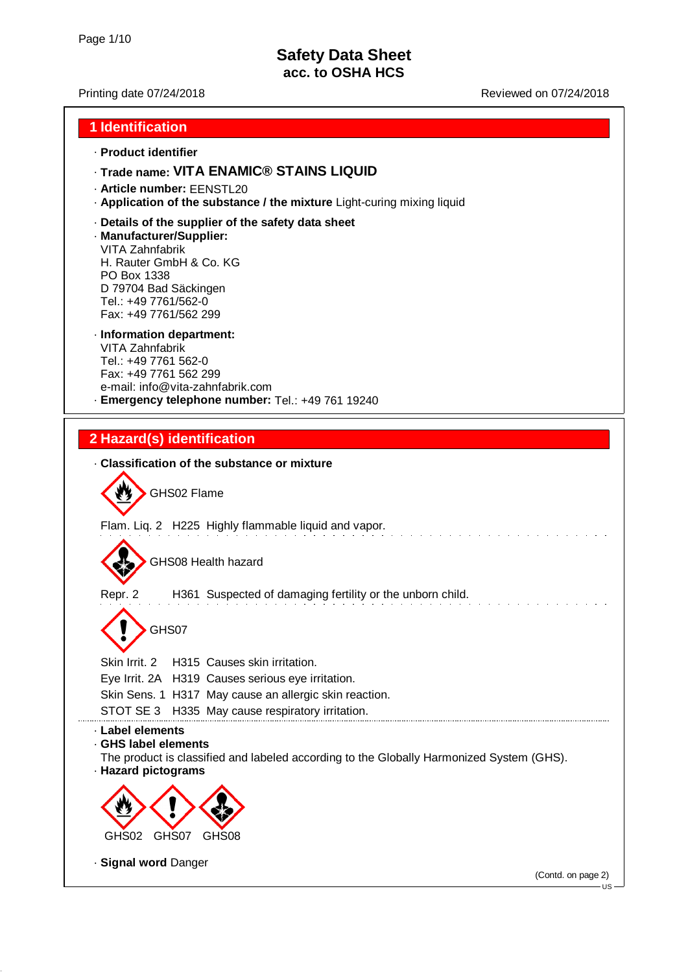### Printing date 07/24/2018 **Printing date 07/24/2018** Reviewed on 07/24/2018

### **1 Identification**

#### · **Product identifier**

### · **Trade name: VITA ENAMIC® STAINS LIQUID**

- · **Article number:** EENSTL20
- · **Application of the substance / the mixture** Light-curing mixing liquid
- · **Details of the supplier of the safety data sheet**

#### · **Manufacturer/Supplier:**

VITA Zahnfabrik H. Rauter GmbH & Co. KG PO Box 1338 D 79704 Bad Säckingen Tel.: +49 7761/562-0 Fax: +49 7761/562 299

### · **Information department:**

VITA Zahnfabrik Tel.: +49 7761 562-0 Fax: +49 7761 562 299 e-mail: info@vita-zahnfabrik.com · **Emergency telephone number:** Tel.: +49 761 19240

## **2 Hazard(s) identification**

· **Classification of the substance or mixture** GHS02 Flame Flam. Liq. 2 H225 Highly flammable liquid and vapor. GHS08 Health hazard Repr. 2 H361 Suspected of damaging fertility or the unborn child. GHS07 Skin Irrit. 2 H315 Causes skin irritation. Eye Irrit. 2A H319 Causes serious eye irritation. Skin Sens. 1 H317 May cause an allergic skin reaction. STOT SE 3 H335 May cause respiratory irritation. · **Label elements** · **GHS label elements** The product is classified and labeled according to the Globally Harmonized System (GHS). · **Hazard pictograms** GHS02 GHS07 GHS08 · **Signal word** Danger (Contd. on page 2)  $\overline{18}$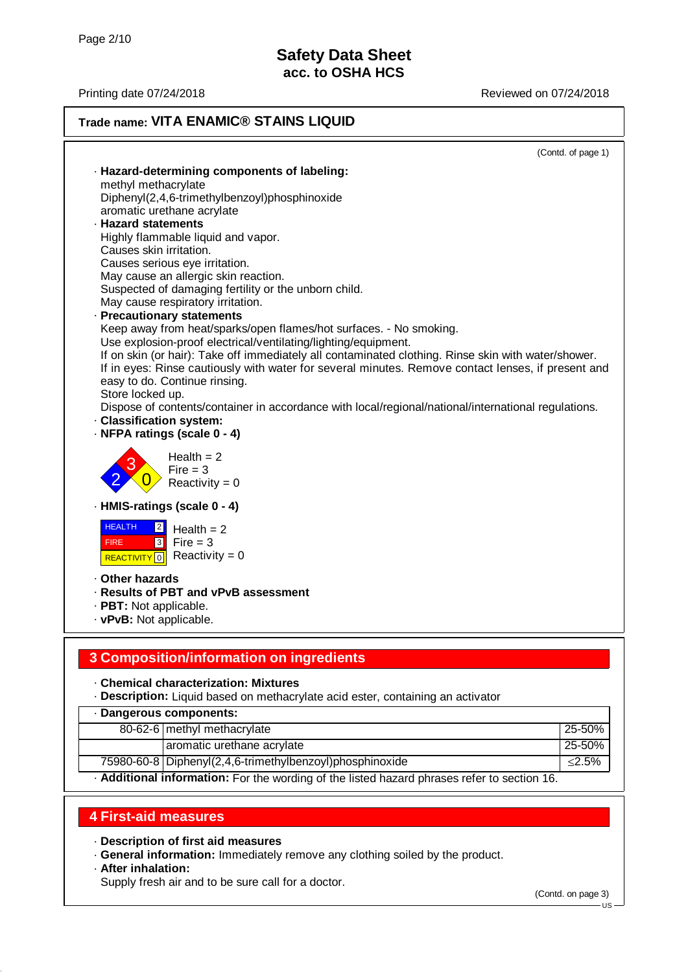Printing date 07/24/2018 **Printing date 07/24/2018** 

## **Trade name: VITA ENAMIC® STAINS LIQUID**

(Contd. of page 1)

|                               |                                                                                                     | (Contd. of page 1) |
|-------------------------------|-----------------------------------------------------------------------------------------------------|--------------------|
|                               | · Hazard-determining components of labeling:                                                        |                    |
| methyl methacrylate           |                                                                                                     |                    |
|                               | Diphenyl(2,4,6-trimethylbenzoyl)phosphinoxide                                                       |                    |
|                               | aromatic urethane acrylate                                                                          |                    |
| · Hazard statements           |                                                                                                     |                    |
|                               | Highly flammable liquid and vapor.                                                                  |                    |
| Causes skin irritation.       |                                                                                                     |                    |
|                               | Causes serious eye irritation.                                                                      |                    |
|                               | May cause an allergic skin reaction.<br>Suspected of damaging fertility or the unborn child.        |                    |
|                               | May cause respiratory irritation.                                                                   |                    |
|                               | · Precautionary statements                                                                          |                    |
|                               | Keep away from heat/sparks/open flames/hot surfaces. - No smoking.                                  |                    |
|                               | Use explosion-proof electrical/ventilating/lighting/equipment.                                      |                    |
|                               | If on skin (or hair): Take off immediately all contaminated clothing. Rinse skin with water/shower. |                    |
|                               | If in eyes: Rinse cautiously with water for several minutes. Remove contact lenses, if present and  |                    |
|                               | easy to do. Continue rinsing.                                                                       |                    |
| Store locked up.              |                                                                                                     |                    |
|                               | Dispose of contents/container in accordance with local/regional/national/international regulations. |                    |
| · Classification system:      |                                                                                                     |                    |
|                               | · NFPA ratings (scale 0 - 4)                                                                        |                    |
|                               | Health $= 2$                                                                                        |                    |
|                               | $Fire = 3$                                                                                          |                    |
|                               | Reactivity = $0$                                                                                    |                    |
|                               | - HMIS-ratings (scale 0 - 4)                                                                        |                    |
| <b>HEALTH</b><br>$\vert$ 2    | Health $= 2$                                                                                        |                    |
| 3 <br><b>FIRE</b>             | Fire $=$ 3                                                                                          |                    |
| <b>REACTIVITY</b> 0           | Reactivity = $0$                                                                                    |                    |
|                               |                                                                                                     |                    |
| . Other hazards               |                                                                                                     |                    |
|                               | · Results of PBT and vPvB assessment                                                                |                    |
| · PBT: Not applicable.        |                                                                                                     |                    |
| $\cdot$ vPvB: Not applicable. |                                                                                                     |                    |
|                               |                                                                                                     |                    |
|                               | 3 Composition/information on ingredients                                                            |                    |
|                               |                                                                                                     |                    |
|                               | - Chemical characterization: Mixtures                                                               |                    |
|                               | · Description: Liquid based on methacrylate acid ester, containing an activator                     |                    |
|                               | · Dangerous components:                                                                             |                    |
|                               | 80-62-6 methyl methacrylate                                                                         | 25-50%             |
|                               | aromatic urethane acrylate                                                                          | 25-50%             |
|                               | 75980-60-8 Diphenyl(2,4,6-trimethylbenzoyl)phosphinoxide                                            | $≤2.5%$            |
|                               |                                                                                                     |                    |

· **Additional information:** For the wording of the listed hazard phrases refer to section 16.

## **4 First-aid measures**

· **Description of first aid measures**

· **General information:** Immediately remove any clothing soiled by the product.

### · **After inhalation:**

Supply fresh air and to be sure call for a doctor.

(Contd. on page 3)

US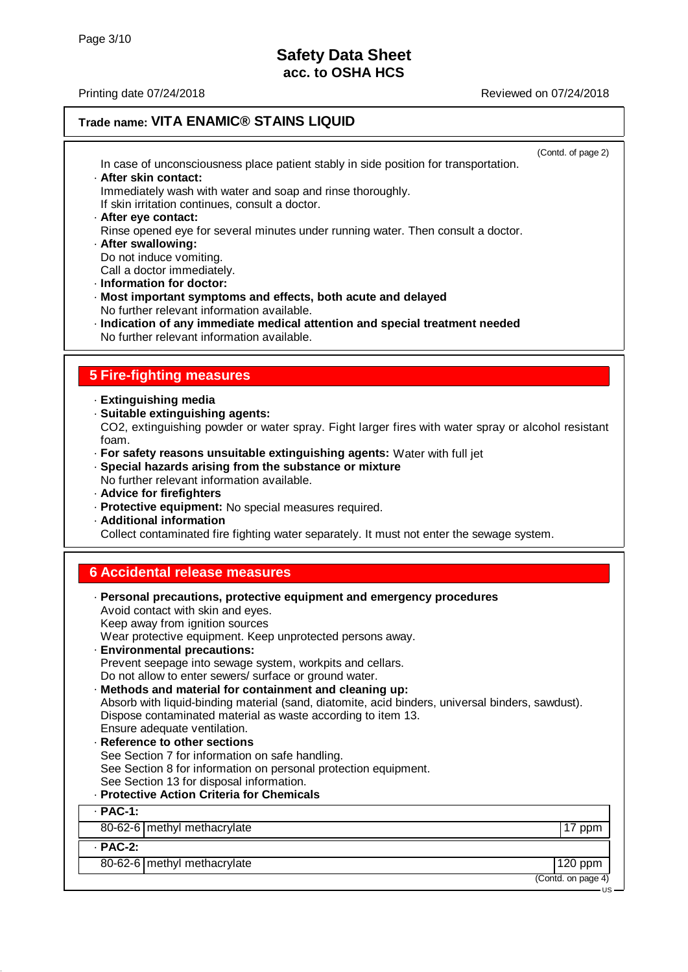US

## **Trade name: VITA ENAMIC® STAINS LIQUID**

(Contd. of page 2) In case of unconsciousness place patient stably in side position for transportation. · **After skin contact:** Immediately wash with water and soap and rinse thoroughly. If skin irritation continues, consult a doctor. · **After eye contact:** Rinse opened eye for several minutes under running water. Then consult a doctor. · **After swallowing:** Do not induce vomiting. Call a doctor immediately. · **Information for doctor:** · **Most important symptoms and effects, both acute and delayed** No further relevant information available. · **Indication of any immediate medical attention and special treatment needed** No further relevant information available. **5 Fire-fighting measures** · **Extinguishing media** · **Suitable extinguishing agents:** CO2, extinguishing powder or water spray. Fight larger fires with water spray or alcohol resistant foam. · **For safety reasons unsuitable extinguishing agents:** Water with full jet · **Special hazards arising from the substance or mixture** No further relevant information available. · **Advice for firefighters** · **Protective equipment:** No special measures required. · **Additional information** Collect contaminated fire fighting water separately. It must not enter the sewage system. **6 Accidental release measures** · **Personal precautions, protective equipment and emergency procedures** Avoid contact with skin and eyes. Keep away from ignition sources Wear protective equipment. Keep unprotected persons away. · **Environmental precautions:** Prevent seepage into sewage system, workpits and cellars. Do not allow to enter sewers/ surface or ground water. · **Methods and material for containment and cleaning up:** Absorb with liquid-binding material (sand, diatomite, acid binders, universal binders, sawdust). Dispose contaminated material as waste according to item 13. Ensure adequate ventilation. **Reference to other sections** See Section 7 for information on safe handling. See Section 8 for information on personal protection equipment. See Section 13 for disposal information. · **Protective Action Criteria for Chemicals** · **PAC-1:** 80-62-6 methyl methacrylate 17 ppm · **PAC-2:** 80-62-6 methyl methacrylate 120 ppm (Contd. on page 4)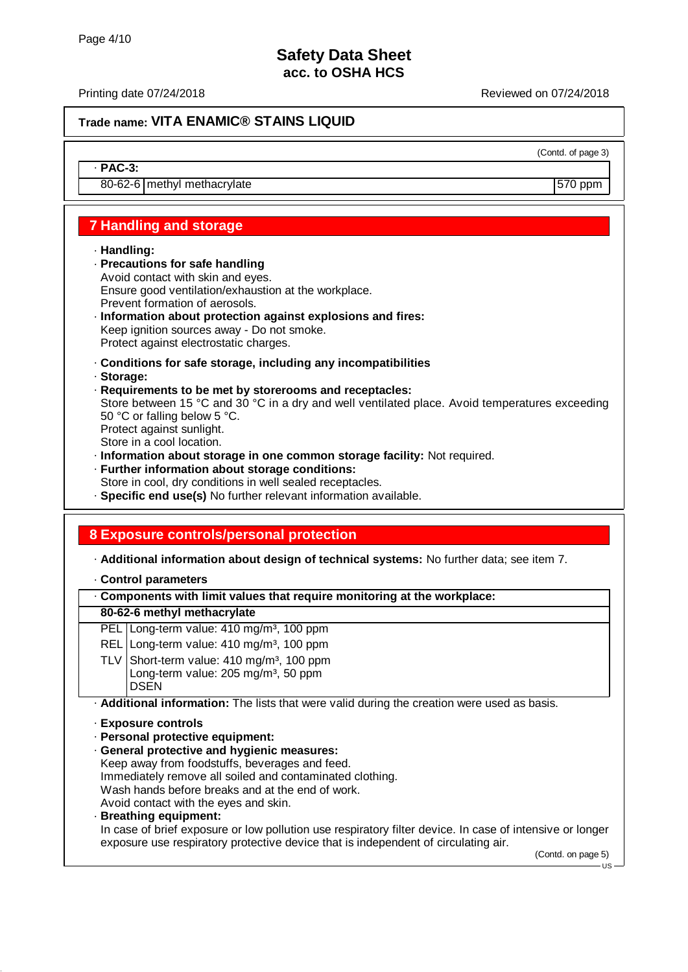Printing date 07/24/2018 **Printing date 07/24/2018** Reviewed on 07/24/2018

(Contd. of page 3)

## **Trade name: VITA ENAMIC® STAINS LIQUID**

· **PAC-3:**

80-62-6 | methyl methacrylate 570 ppm

# **7 Handling and storage**

#### · **Handling:**

- · **Precautions for safe handling** Avoid contact with skin and eyes. Ensure good ventilation/exhaustion at the workplace. Prevent formation of aerosols.
- · **Information about protection against explosions and fires:** Keep ignition sources away - Do not smoke. Protect against electrostatic charges.
- · **Conditions for safe storage, including any incompatibilities**
- · **Storage:**
- · **Requirements to be met by storerooms and receptacles:**

Store between 15 °C and 30 °C in a dry and well ventilated place. Avoid temperatures exceeding 50 °C or falling below 5 °C. Protect against sunlight.

Store in a cool location.

- · **Information about storage in one common storage facility:** Not required.
- · **Further information about storage conditions:**

Store in cool, dry conditions in well sealed receptacles.

· **Specific end use(s)** No further relevant information available.

## **8 Exposure controls/personal protection**

· **Additional information about design of technical systems:** No further data; see item 7.

- · **Control parameters**
- · **Components with limit values that require monitoring at the workplace:**

### **80-62-6 methyl methacrylate**

- PEL Long-term value: 410 mg/m<sup>3</sup>, 100 ppm
- REL Long-term value: 410 mg/m<sup>3</sup>, 100 ppm
- TLV Short-term value:  $410 \text{ mg/m}^3$ , 100 ppm Long-term value: 205 mg/m<sup>3</sup>, 50 ppm DSEN

· **Additional information:** The lists that were valid during the creation were used as basis.

- · **Exposure controls**
- · **Personal protective equipment:**
- · **General protective and hygienic measures:** Keep away from foodstuffs, beverages and feed. Immediately remove all soiled and contaminated clothing. Wash hands before breaks and at the end of work.
- Avoid contact with the eyes and skin.
- · **Breathing equipment:**

In case of brief exposure or low pollution use respiratory filter device. In case of intensive or longer exposure use respiratory protective device that is independent of circulating air.

(Contd. on page 5)

 $-11S$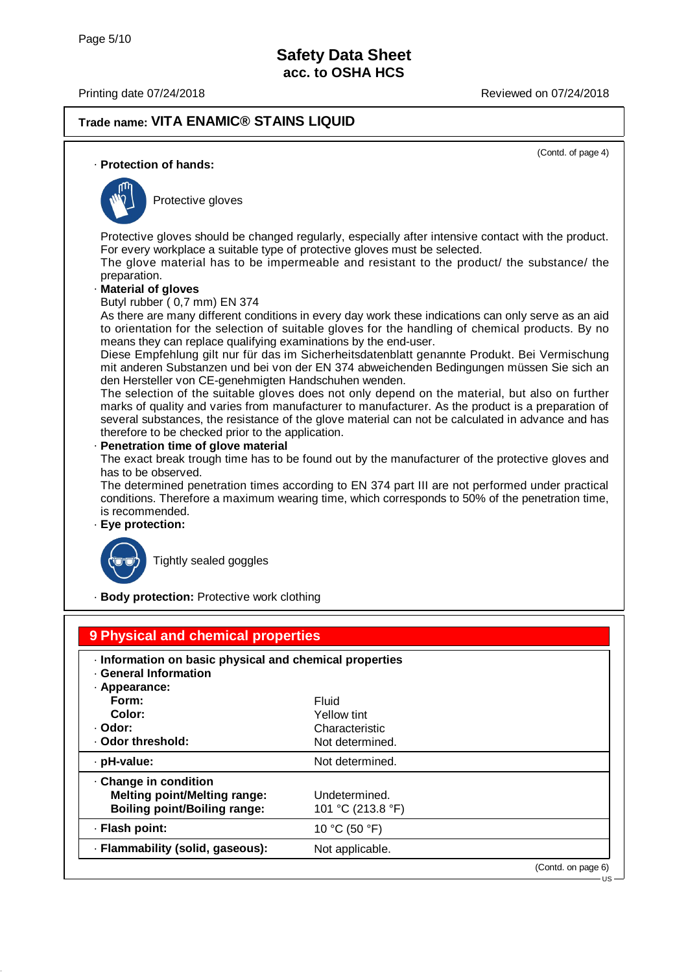## **Trade name: VITA ENAMIC® STAINS LIQUID**

(Contd. of page 4)

#### · **Protection of hands:**



Protective gloves

Protective gloves should be changed regularly, especially after intensive contact with the product. For every workplace a suitable type of protective gloves must be selected.

The glove material has to be impermeable and resistant to the product/ the substance/ the preparation.

#### · **Material of gloves**

Butyl rubber ( 0,7 mm) EN 374

As there are many different conditions in every day work these indications can only serve as an aid to orientation for the selection of suitable gloves for the handling of chemical products. By no means they can replace qualifying examinations by the end-user.

Diese Empfehlung gilt nur für das im Sicherheitsdatenblatt genannte Produkt. Bei Vermischung mit anderen Substanzen und bei von der EN 374 abweichenden Bedingungen müssen Sie sich an den Hersteller von CE-genehmigten Handschuhen wenden.

The selection of the suitable gloves does not only depend on the material, but also on further marks of quality and varies from manufacturer to manufacturer. As the product is a preparation of several substances, the resistance of the glove material can not be calculated in advance and has therefore to be checked prior to the application.

#### · **Penetration time of glove material**

The exact break trough time has to be found out by the manufacturer of the protective gloves and has to be observed.

The determined penetration times according to EN 374 part III are not performed under practical conditions. Therefore a maximum wearing time, which corresponds to 50% of the penetration time, is recommended.

· **Eye protection:**



Tightly sealed goggles

· **Body protection:** Protective work clothing

| 9 Physical and chemical properties<br>· Information on basic physical and chemical properties<br>· General Information |                                    |                    |
|------------------------------------------------------------------------------------------------------------------------|------------------------------------|--------------------|
| · Appearance:<br>Form:                                                                                                 | <b>Fluid</b>                       |                    |
| Color:                                                                                                                 | Yellow tint                        |                    |
| · Odor:                                                                                                                | Characteristic                     |                    |
| · Odor threshold:                                                                                                      | Not determined.                    |                    |
| · pH-value:                                                                                                            | Not determined.                    |                    |
| · Change in condition<br><b>Melting point/Melting range:</b><br><b>Boiling point/Boiling range:</b>                    | Undetermined.<br>101 °C (213.8 °F) |                    |
| · Flash point:                                                                                                         | 10 °C (50 °F)                      |                    |
| · Flammability (solid, gaseous):                                                                                       | Not applicable.                    |                    |
|                                                                                                                        |                                    | (Contd. on page 6) |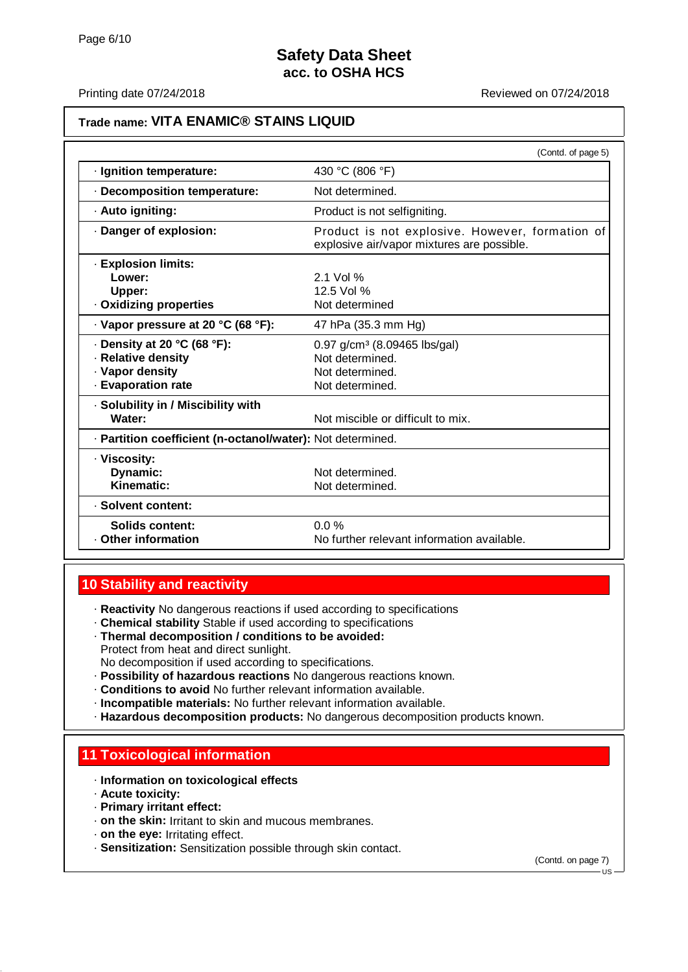### Printing date 07/24/2018 **Printing date 07/24/2018** Reviewed on 07/24/2018

### **Trade name: VITA ENAMIC® STAINS LIQUID**

|                                                                                                  | (Contd. of page 5)                                                                                |  |  |  |
|--------------------------------------------------------------------------------------------------|---------------------------------------------------------------------------------------------------|--|--|--|
| · Ignition temperature:                                                                          | 430 °C (806 °F)                                                                                   |  |  |  |
| · Decomposition temperature:                                                                     | Not determined.                                                                                   |  |  |  |
| · Auto igniting:                                                                                 | Product is not selfigniting.                                                                      |  |  |  |
| Danger of explosion:                                                                             | Product is not explosive. However, formation of<br>explosive air/vapor mixtures are possible.     |  |  |  |
| · Explosion limits:<br>Lower:<br>Upper:<br>. Oxidizing properties                                | $2.1$ Vol %<br>12.5 Vol %<br>Not determined                                                       |  |  |  |
| · Vapor pressure at 20 °C (68 °F):                                                               | 47 hPa (35.3 mm Hg)                                                                               |  |  |  |
| $\cdot$ Density at 20 °C (68 °F):<br>· Relative density<br>· Vapor density<br>· Evaporation rate | 0.97 g/cm <sup>3</sup> (8.09465 lbs/gal)<br>Not determined.<br>Not determined.<br>Not determined. |  |  |  |
| · Solubility in / Miscibility with<br>Water:                                                     | Not miscible or difficult to mix.                                                                 |  |  |  |
| · Partition coefficient (n-octanol/water): Not determined.                                       |                                                                                                   |  |  |  |
| · Viscosity:<br>Dynamic:<br>Kinematic:                                                           | Not determined.<br>Not determined.                                                                |  |  |  |
| · Solvent content:                                                                               |                                                                                                   |  |  |  |
| Solids content:<br>Other information                                                             | $0.0\%$<br>No further relevant information available.                                             |  |  |  |

## **10 Stability and reactivity**

· **Reactivity** No dangerous reactions if used according to specifications

- · **Chemical stability** Stable if used according to specifications · **Thermal decomposition / conditions to be avoided:**
- Protect from heat and direct sunlight.

No decomposition if used according to specifications.

- · **Possibility of hazardous reactions** No dangerous reactions known.
- · **Conditions to avoid** No further relevant information available.
- · **Incompatible materials:** No further relevant information available.
- · **Hazardous decomposition products:** No dangerous decomposition products known.

## **11 Toxicological information**

### · **Information on toxicological effects**

- · **Acute toxicity:**
- · **Primary irritant effect:**
- · **on the skin:** Irritant to skin and mucous membranes.
- · **on the eye:** Irritating effect.
- · **Sensitization:** Sensitization possible through skin contact.

(Contd. on page 7)

 $\overline{\mathbf{H}}$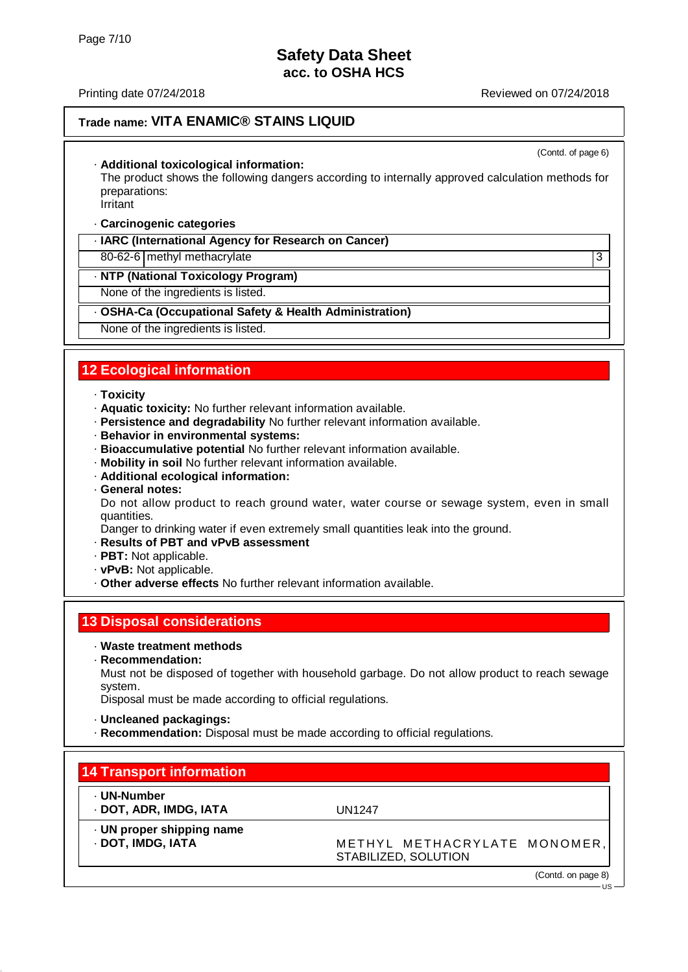## **Trade name: VITA ENAMIC® STAINS LIQUID**

(Contd. of page 6)

#### · **Additional toxicological information:**

The product shows the following dangers according to internally approved calculation methods for preparations:

Irritant

#### · **Carcinogenic categories**

### · **IARC (International Agency for Research on Cancer)**

80-62-6 | methyl methacrylate 3

#### · **NTP (National Toxicology Program)**

None of the ingredients is listed.

#### · **OSHA-Ca (Occupational Safety & Health Administration)**

None of the ingredients is listed.

## **12 Ecological information**

#### · **Toxicity**

- · **Aquatic toxicity:** No further relevant information available.
- · **Persistence and degradability** No further relevant information available.
- · **Behavior in environmental systems:**
- · **Bioaccumulative potential** No further relevant information available.
- · **Mobility in soil** No further relevant information available.
- · **Additional ecological information:**
- · **General notes:**

Do not allow product to reach ground water, water course or sewage system, even in small quantities.

Danger to drinking water if even extremely small quantities leak into the ground.

### · **Results of PBT and vPvB assessment**

- · **PBT:** Not applicable.
- · **vPvB:** Not applicable.
- · **Other adverse effects** No further relevant information available.

### **13 Disposal considerations**

- · **Waste treatment methods**
- · **Recommendation:**

Must not be disposed of together with household garbage. Do not allow product to reach sewage system.

Disposal must be made according to official regulations.

- · **Uncleaned packagings:**
- · **Recommendation:** Disposal must be made according to official regulations.

# **14 Transport information**

· **UN proper shipping name**

- · **UN-Number**
- · **DOT, ADR, IMDG, IATA** UN1247

**DOT, IMDG, IATA** METHYL METHACRYLATE MONOMER, STABILIZED, SOLUTION

(Contd. on page 8)

 $\overline{110}$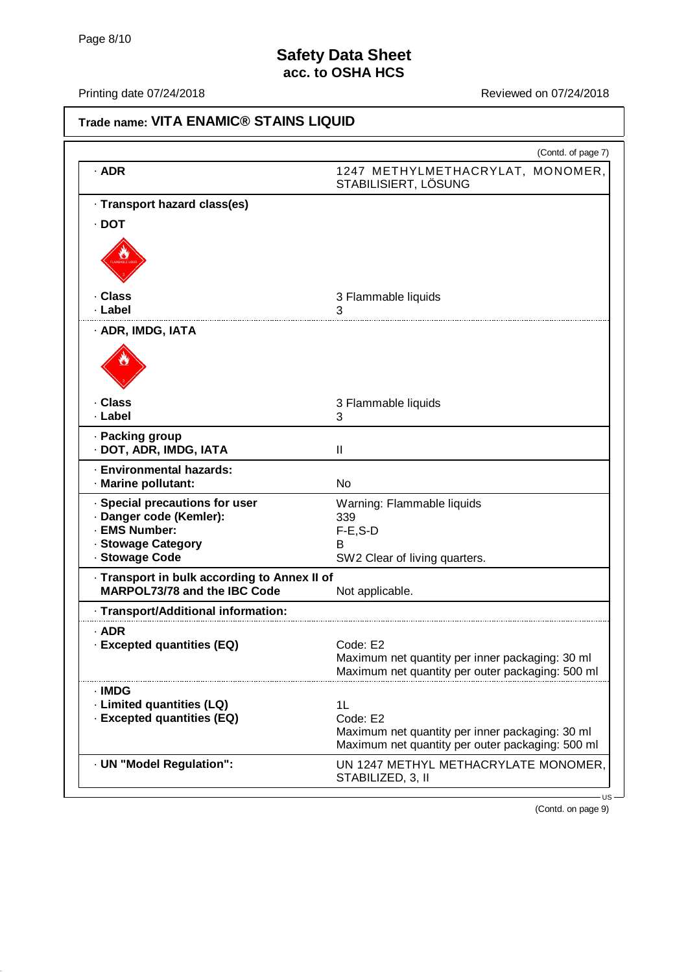| Trade name: VITA ENAMIC <sup>®</sup> STAINS LIQUID                                  |                                                                                                                       |  |  |  |
|-------------------------------------------------------------------------------------|-----------------------------------------------------------------------------------------------------------------------|--|--|--|
|                                                                                     | (Contd. of page 7)                                                                                                    |  |  |  |
| $·$ ADR                                                                             | 1247 METHYLMETHACRYLAT, MONOMER,<br>STABILISIERT, LÖSUNG                                                              |  |  |  |
| · Transport hazard class(es)                                                        |                                                                                                                       |  |  |  |
| $\cdot$ DOT                                                                         |                                                                                                                       |  |  |  |
|                                                                                     |                                                                                                                       |  |  |  |
| · Class<br>· Label                                                                  | 3 Flammable liquids<br>З                                                                                              |  |  |  |
| · ADR, IMDG, IATA                                                                   |                                                                                                                       |  |  |  |
|                                                                                     |                                                                                                                       |  |  |  |
| · Class<br>· Label                                                                  | 3 Flammable liquids<br>3                                                                                              |  |  |  |
| · Packing group<br>· DOT, ADR, IMDG, IATA                                           | Ш                                                                                                                     |  |  |  |
| · Environmental hazards:<br>· Marine pollutant:                                     | <b>No</b>                                                                                                             |  |  |  |
| Special precautions for user                                                        | Warning: Flammable liquids                                                                                            |  |  |  |
| · Danger code (Kemler):<br><b>EMS Number:</b>                                       | 339<br>$F-E$ , $S-D$                                                                                                  |  |  |  |
| <b>Stowage Category</b>                                                             | в                                                                                                                     |  |  |  |
| · Stowage Code                                                                      | SW2 Clear of living quarters.                                                                                         |  |  |  |
| · Transport in bulk according to Annex II of<br><b>MARPOL73/78 and the IBC Code</b> | Not applicable.                                                                                                       |  |  |  |
| - Transport/Additional information:                                                 |                                                                                                                       |  |  |  |
| $·$ ADR<br>- Excepted quantities (EQ)                                               | Code: E2<br>Maximum net quantity per inner packaging: 30 ml<br>Maximum net quantity per outer packaging: 500 ml       |  |  |  |
| · IMDG<br>· Limited quantities (LQ)<br>· Excepted quantities (EQ)                   | 1L<br>Code: E2<br>Maximum net quantity per inner packaging: 30 ml<br>Maximum net quantity per outer packaging: 500 ml |  |  |  |
| · UN "Model Regulation":                                                            | UN 1247 METHYL METHACRYLATE MONOMER,<br>STABILIZED, 3, II                                                             |  |  |  |
|                                                                                     | US                                                                                                                    |  |  |  |

(Contd. on page 9)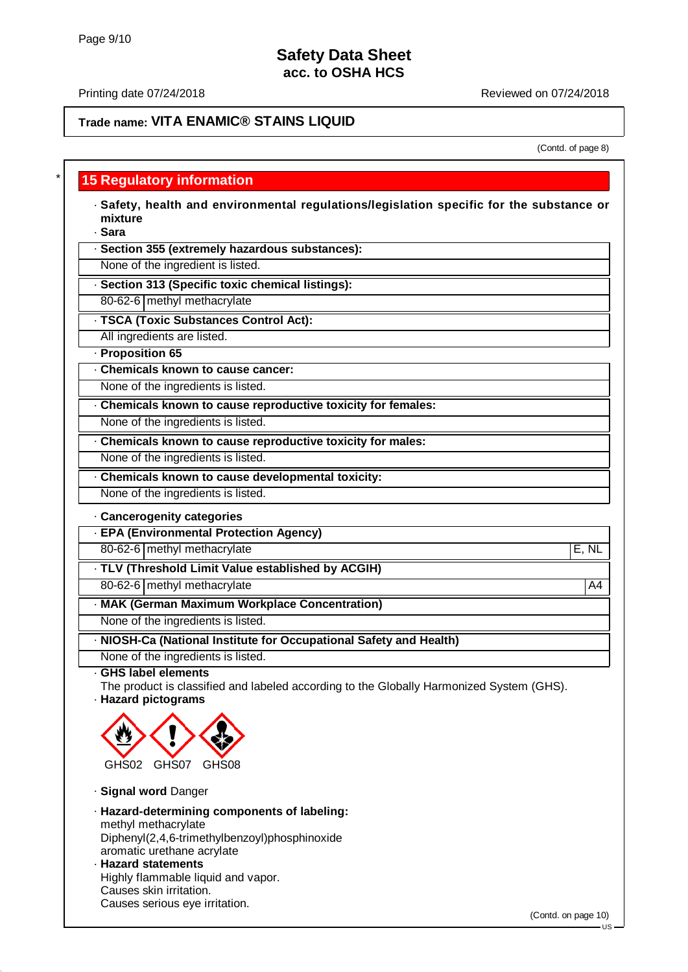Printing date 07/24/2018 **Printing date 07/24/2018** Reviewed on 07/24/2018

## **Trade name: VITA ENAMIC® STAINS LIQUID**

#### (Contd. of page 8)

## **15 Regulatory information**

· **Safety, health and environmental regulations/legislation specific for the substance or mixture**

· **Sara**

· **Section 355 (extremely hazardous substances):**

None of the ingredient is listed.

- · **Section 313 (Specific toxic chemical listings):**
- 80-62-6 methyl methacrylate
- · **TSCA (Toxic Substances Control Act):**

All ingredients are listed.

- · **Proposition 65**
- · **Chemicals known to cause cancer:**

None of the ingredients is listed.

- · **Chemicals known to cause reproductive toxicity for females:**
- None of the ingredients is listed.
- · **Chemicals known to cause reproductive toxicity for males:**

None of the ingredients is listed.

· **Chemicals known to cause developmental toxicity:**

None of the ingredients is listed.

#### · **Cancerogenity categories**

- · **EPA (Environmental Protection Agency)**
- 80-62-6 methyl methacrylate E, NL
- · **TLV (Threshold Limit Value established by ACGIH)**
- 80-62-6 methyl methacrylate A4
- · **MAK (German Maximum Workplace Concentration)**

None of the ingredients is listed.

- · **NIOSH-Ca (National Institute for Occupational Safety and Health)**
- None of the ingredients is listed.

· **GHS label elements**

- The product is classified and labeled according to the Globally Harmonized System (GHS).
- · **Hazard pictograms**



- · **Signal word** Danger
- · **Hazard-determining components of labeling:** methyl methacrylate Diphenyl(2,4,6-trimethylbenzoyl)phosphinoxide aromatic urethane acrylate
- · **Hazard statements** Highly flammable liquid and vapor. Causes skin irritation. Causes serious eye irritation.

(Contd. on page 10)